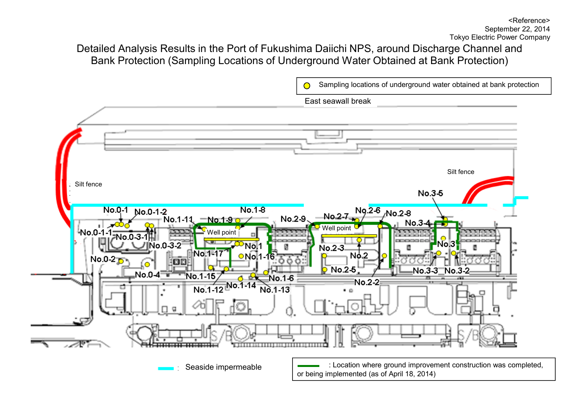# Detailed Analysis Results in the Port of Fukushima Daiichi NPS, around Discharge Channel and Bank Protection (Sampling Locations of Underground Water Obtained at Bank Protection)

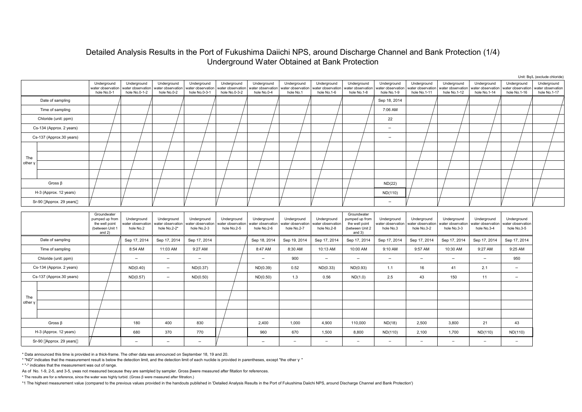### Detailed Analysis Results in the Port of Fukushima Daiichi NPS, around Discharge Channel and Bank Protection (1/4) Underground Water Obtained at Bank Protection

|                          |                                                                                |                                                   |                                                  |                                                   |                                                   |                                                 |                                                 |                                                 |                                                                                |                                                 |                                                  |                                                  |                                                  |                                                  | Unit: Bq/L (exclude chloride)                    |
|--------------------------|--------------------------------------------------------------------------------|---------------------------------------------------|--------------------------------------------------|---------------------------------------------------|---------------------------------------------------|-------------------------------------------------|-------------------------------------------------|-------------------------------------------------|--------------------------------------------------------------------------------|-------------------------------------------------|--------------------------------------------------|--------------------------------------------------|--------------------------------------------------|--------------------------------------------------|--------------------------------------------------|
|                          | Underground<br>water observation<br>hole No.0-1                                | Underground<br>water observation<br>hole No.0-1-2 | Underground<br>water observation<br>hole No.0-2  | Underground<br>water observation<br>hole No.0-3-1 | Underground<br>water observation<br>hole No.0-3-2 | Underground<br>water observation<br>hole No.0-4 | Underground<br>vater observation<br>hole No.1   | Underground<br>vater observation<br>hole No.1-6 | Underground<br>water observation<br>hole No.1-8                                | Underground<br>vater observation<br>hole No.1-9 | Underground<br>vater observation<br>hole No.1-11 | Underground<br>water observation<br>hole No.1-12 | Underground<br>water observation<br>hole No.1-14 | Underground<br>vater observation<br>hole No.1-16 | Underground<br>water observation<br>hole No.1-17 |
| Date of sampling         |                                                                                |                                                   |                                                  |                                                   |                                                   |                                                 |                                                 |                                                 |                                                                                | Sep 18, 2014                                    |                                                  |                                                  |                                                  |                                                  |                                                  |
| Time of sampling         |                                                                                |                                                   |                                                  |                                                   |                                                   |                                                 |                                                 |                                                 |                                                                                | 7:06 AM                                         |                                                  |                                                  |                                                  |                                                  |                                                  |
| Chloride (unit: ppm)     |                                                                                |                                                   |                                                  |                                                   |                                                   |                                                 |                                                 |                                                 |                                                                                | 22                                              |                                                  |                                                  |                                                  |                                                  |                                                  |
| Cs-134 (Approx. 2 years) |                                                                                |                                                   |                                                  |                                                   |                                                   |                                                 |                                                 |                                                 |                                                                                |                                                 |                                                  |                                                  |                                                  |                                                  |                                                  |
| Cs-137 (Approx.30 years) |                                                                                |                                                   |                                                  |                                                   |                                                   |                                                 |                                                 |                                                 |                                                                                |                                                 |                                                  |                                                  |                                                  |                                                  |                                                  |
|                          |                                                                                |                                                   |                                                  |                                                   |                                                   |                                                 |                                                 |                                                 |                                                                                |                                                 |                                                  |                                                  |                                                  |                                                  |                                                  |
| The                      |                                                                                |                                                   |                                                  |                                                   |                                                   |                                                 |                                                 |                                                 |                                                                                |                                                 |                                                  |                                                  |                                                  |                                                  |                                                  |
| other y                  |                                                                                |                                                   |                                                  |                                                   |                                                   |                                                 |                                                 |                                                 |                                                                                |                                                 |                                                  |                                                  |                                                  |                                                  |                                                  |
|                          |                                                                                |                                                   |                                                  |                                                   |                                                   |                                                 |                                                 |                                                 |                                                                                |                                                 |                                                  |                                                  |                                                  |                                                  |                                                  |
| Gross $\beta$            |                                                                                |                                                   |                                                  |                                                   |                                                   |                                                 |                                                 |                                                 |                                                                                | ND(22)                                          |                                                  |                                                  |                                                  |                                                  |                                                  |
| H-3 (Approx. 12 years)   |                                                                                |                                                   |                                                  |                                                   |                                                   |                                                 |                                                 |                                                 |                                                                                | ND(110)                                         |                                                  |                                                  |                                                  |                                                  |                                                  |
| Sr-90 Approx. 29 years   |                                                                                |                                                   |                                                  |                                                   |                                                   |                                                 |                                                 |                                                 |                                                                                |                                                 |                                                  |                                                  |                                                  |                                                  |                                                  |
|                          |                                                                                |                                                   |                                                  |                                                   |                                                   |                                                 |                                                 |                                                 |                                                                                |                                                 |                                                  |                                                  |                                                  |                                                  |                                                  |
|                          | Groundwater<br>pumped up from<br>the well point<br>(between Unit 1<br>and $2)$ | Underground<br>vater observation<br>hole No.2     | Underground<br>water observation<br>hole No.2-2* | Underground<br>ater observation<br>hole No.2-3    | Underground<br>vater observation<br>hole No.2-5   | Underground<br>water observation<br>hole No.2-6 | Underground<br>vater observation<br>hole No.2-7 | Underground<br>vater observation<br>hole No.2-8 | Groundwater<br>pumped up from<br>the well point<br>(between Unit 2<br>and $3)$ | Underground<br>vater observation<br>hole No.3   | Underground<br>vater observation<br>hole No.3-2  | Underground<br>water observation<br>hole No.3-3  | Underground<br>vater observatior<br>hole No.3-4  | Underground<br>vater observation<br>hole No.3-5  |                                                  |
| Date of sampling         |                                                                                | Sep 17, 2014                                      | Sep 17, 2014                                     | Sep 17, 2014                                      |                                                   | Sep 18, 2014                                    | Sep 19, 2014                                    | Sep 17, 2014                                    | Sep 17, 2014                                                                   | Sep 17, 2014                                    | Sep 17, 2014                                     | Sep 17, 2014                                     | Sep 17, 2014                                     | Sep 17, 2014                                     |                                                  |
| Time of sampling         |                                                                                | 8:54 AM                                           | 11:03 AM                                         | 9:27 AM                                           |                                                   | 8:47 AM                                         | 8:30 AM                                         | 10:13 AM                                        | 10:00 AM                                                                       | 9:10 AM                                         | 9:57 AM                                          | 10:30 AM                                         | 9:27 AM                                          | 9:25 AM                                          |                                                  |
| Chloride (unit: ppm)     |                                                                                |                                                   |                                                  |                                                   |                                                   |                                                 | 900                                             |                                                 |                                                                                |                                                 |                                                  |                                                  |                                                  | 950                                              |                                                  |
| Cs-134 (Approx. 2 years) |                                                                                | ND(0.40)                                          |                                                  | ND(0.37)                                          |                                                   | ND(0.39)                                        | 0.52                                            | ND(0.33)                                        | ND(0.93)                                                                       | 1.1                                             | 16                                               | 41                                               | 2.1                                              |                                                  |                                                  |
| Cs-137 (Approx.30 years) |                                                                                | ND(0.57)                                          |                                                  | ND(0.50)                                          |                                                   | ND(0.50)                                        | 1.3                                             | 0.56                                            | ND(1.0)                                                                        | 2.5                                             | 43                                               | 150                                              | 11                                               |                                                  |                                                  |
|                          |                                                                                |                                                   |                                                  |                                                   |                                                   |                                                 |                                                 |                                                 |                                                                                |                                                 |                                                  |                                                  |                                                  |                                                  |                                                  |
| The                      |                                                                                |                                                   |                                                  |                                                   |                                                   |                                                 |                                                 |                                                 |                                                                                |                                                 |                                                  |                                                  |                                                  |                                                  |                                                  |
| other y                  |                                                                                |                                                   |                                                  |                                                   |                                                   |                                                 |                                                 |                                                 |                                                                                |                                                 |                                                  |                                                  |                                                  |                                                  |                                                  |
|                          |                                                                                |                                                   |                                                  |                                                   |                                                   |                                                 |                                                 |                                                 |                                                                                |                                                 |                                                  |                                                  |                                                  |                                                  |                                                  |
| Gross $\beta$            |                                                                                | 180                                               | 400                                              | 830                                               |                                                   | 2,400                                           | 1,000                                           | 4,900                                           | 110,000                                                                        | ND(18)                                          | 2,500                                            | 3,800                                            | 21                                               | 43                                               |                                                  |
| H-3 (Approx. 12 years)   |                                                                                | 680                                               | 370                                              | 770                                               |                                                   | 960                                             | 670                                             | 1,500                                           | 8,800                                                                          | ND(110)                                         | 2,100                                            | 1,700                                            | ND(110)                                          | ND(110)                                          |                                                  |
| Sr-90 Approx, 29 years   |                                                                                |                                                   |                                                  |                                                   |                                                   |                                                 |                                                 |                                                 |                                                                                |                                                 |                                                  |                                                  |                                                  |                                                  |                                                  |

\* Data announced this time is provided in a thick-frame. The other data was announced on September 18, 19 and 20.

\* "ND" indicates that the measurement result is below the detection limit, and the detection limit of each nuclide is provided in parentheses, except "the other"

\* "-" indicates that the measurement was out of range.

As of No. 1-9, 2-5, and 3-5, γwas not measured because they are samlpled by sampler. Gross βwere measured after filtation for references.

\* The results are for a reference, since the water was highly turbid. (Gross β were measured after filtration.)

\*1 The highest measurement value (compared to the previous values provided in the handouts published in 'Detailed Analysis Results in the Port of Fukushima Daiichi NPS, around Discharge Channel and Bank Protection')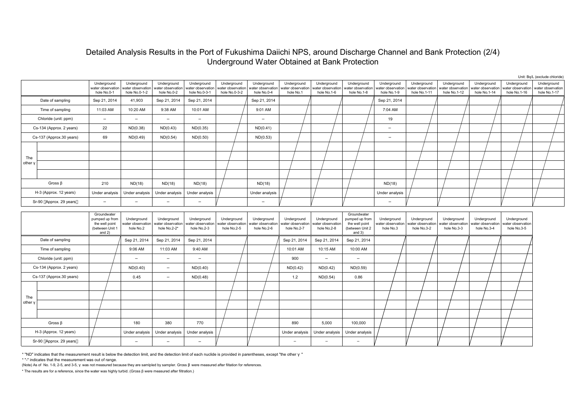# Detailed Analysis Results in the Port of Fukushima Daiichi NPS, around Discharge Channel and Bank Protection (2/4) Underground Water Obtained at Bank Protection

|         |                          |                                                                                |                                                   |                                                  |                                                   |                                                   |                                                 |                                                 |                                                 |                                                                                |                                                 |                                                  |                                                  |                                                  |                                                  | Unit: Bq/L (exclude chloride)                    |
|---------|--------------------------|--------------------------------------------------------------------------------|---------------------------------------------------|--------------------------------------------------|---------------------------------------------------|---------------------------------------------------|-------------------------------------------------|-------------------------------------------------|-------------------------------------------------|--------------------------------------------------------------------------------|-------------------------------------------------|--------------------------------------------------|--------------------------------------------------|--------------------------------------------------|--------------------------------------------------|--------------------------------------------------|
|         |                          | Underground<br>water observation<br>hole No.0-1                                | Underground<br>water observation<br>hole No.0-1-2 | Underground<br>water observation<br>hole No.0-2  | Underground<br>water observation<br>hole No.0-3-1 | Underground<br>water observation<br>hole No.0-3-2 | Underground<br>water observation<br>hole No.0-4 | Underground<br>water observation<br>hole No.1   | Underground<br>water observation<br>hole No.1-6 | Underground<br>water observation<br>hole No.1-8                                | Underground<br>water observation<br>hole No.1-9 | Underground<br>vater observation<br>hole No.1-11 | Underground<br>water observation<br>hole No.1-12 | Underground<br>water observation<br>hole No.1-14 | Underground<br>water observation<br>hole No.1-16 | Underground<br>water observation<br>hole No.1-17 |
|         | Date of sampling         | Sep 21, 2014                                                                   | 41,903                                            | Sep 21, 2014                                     | Sep 21, 2014                                      |                                                   | Sep 21, 2014                                    |                                                 |                                                 |                                                                                | Sep 21, 2014                                    |                                                  |                                                  |                                                  |                                                  |                                                  |
|         | Time of sampling         | 11:03 AM                                                                       | 10:20 AM                                          | 9:38 AM                                          | 10:01 AM                                          |                                                   | 9:01 AM                                         |                                                 |                                                 |                                                                                | 7:04 AM                                         |                                                  |                                                  |                                                  |                                                  |                                                  |
|         | Chloride (unit: ppm)     |                                                                                |                                                   |                                                  |                                                   |                                                   |                                                 |                                                 |                                                 |                                                                                | 19                                              |                                                  |                                                  |                                                  |                                                  |                                                  |
|         | Cs-134 (Approx. 2 years) | 22                                                                             | ND(0.38)                                          | ND(0.43)                                         | ND(0.35)                                          |                                                   | ND(0.41)                                        |                                                 |                                                 |                                                                                |                                                 |                                                  |                                                  |                                                  |                                                  |                                                  |
|         | Cs-137 (Approx.30 years) | 69                                                                             | ND(0.49)                                          | ND(0.54)                                         | ND(0.50)                                          |                                                   | ND(0.53)                                        |                                                 |                                                 |                                                                                |                                                 |                                                  |                                                  |                                                  |                                                  |                                                  |
|         |                          |                                                                                |                                                   |                                                  |                                                   |                                                   |                                                 |                                                 |                                                 |                                                                                |                                                 |                                                  |                                                  |                                                  |                                                  |                                                  |
| The     |                          |                                                                                |                                                   |                                                  |                                                   |                                                   |                                                 |                                                 |                                                 |                                                                                |                                                 |                                                  |                                                  |                                                  |                                                  |                                                  |
| other y |                          |                                                                                |                                                   |                                                  |                                                   |                                                   |                                                 |                                                 |                                                 |                                                                                |                                                 |                                                  |                                                  |                                                  |                                                  |                                                  |
|         |                          |                                                                                |                                                   |                                                  |                                                   |                                                   |                                                 |                                                 |                                                 |                                                                                |                                                 |                                                  |                                                  |                                                  |                                                  |                                                  |
|         | Gross $\beta$            | 210                                                                            | ND(18)                                            | ND(18)                                           | ND(18)                                            |                                                   | ND(18)                                          |                                                 |                                                 |                                                                                | ND(18)                                          |                                                  |                                                  |                                                  |                                                  |                                                  |
|         | H-3 (Approx. 12 years)   | Under analysis                                                                 | Under analysis                                    | Under analysis                                   | Under analysis                                    |                                                   | Under analysis                                  |                                                 |                                                 |                                                                                | Under analysis                                  |                                                  |                                                  |                                                  |                                                  |                                                  |
|         | Sr-90 Approx. 29 years   |                                                                                |                                                   |                                                  |                                                   |                                                   |                                                 |                                                 |                                                 |                                                                                |                                                 |                                                  |                                                  |                                                  |                                                  |                                                  |
|         |                          | Groundwater<br>pumped up from<br>the well point<br>(between Unit 1<br>and $2)$ | Underground<br>water observation<br>hole No.2     | Underground<br>water observation<br>hole No.2-2* | Underground<br>water observation<br>hole No.2-3   | Underground<br>vater observation<br>hole No.2-5   | Underground<br>water observation<br>hole No.2-6 | Underground<br>water observation<br>hole No.2-7 | Underground<br>vater observation<br>hole No.2-8 | Groundwater<br>pumped up from<br>the well point<br>(between Unit 2<br>and $3)$ | Underground<br>water observation<br>hole No.3   | Underground<br>vater observation<br>hole No.3-2  | Underground<br>vater observation<br>hole No.3-3  | Underground<br>water observation<br>hole No.3-4  | Underground<br>ater observation<br>hole No.3-5   |                                                  |
|         | Date of sampling         |                                                                                | Sep 21, 2014                                      | Sep 21, 2014                                     | Sep 21, 2014                                      |                                                   |                                                 | Sep 21, 2014                                    | Sep 21, 2014                                    | Sep 21, 2014                                                                   |                                                 |                                                  |                                                  |                                                  |                                                  |                                                  |
|         | Time of sampling         |                                                                                | 9:06 AM                                           | 11:03 AM                                         | 9:40 AM                                           |                                                   |                                                 | 10:01 AM                                        | 10:15 AM                                        | 10:00 AM                                                                       |                                                 |                                                  |                                                  |                                                  |                                                  |                                                  |
|         | Chloride (unit: ppm)     |                                                                                |                                                   |                                                  |                                                   |                                                   |                                                 | 900                                             |                                                 |                                                                                |                                                 |                                                  |                                                  |                                                  |                                                  |                                                  |
|         | Cs-134 (Approx. 2 years) |                                                                                | ND(0.40)                                          |                                                  | ND(0.40)                                          |                                                   |                                                 | ND(0.42)                                        | ND(0.42)                                        | ND(0.59)                                                                       |                                                 |                                                  |                                                  |                                                  |                                                  |                                                  |
|         | Cs-137 (Approx.30 years) |                                                                                | 0.45                                              |                                                  | ND(0.48)                                          |                                                   |                                                 | 1.2                                             | ND(0.54)                                        | 0.86                                                                           |                                                 |                                                  |                                                  |                                                  |                                                  |                                                  |
|         |                          |                                                                                |                                                   |                                                  |                                                   |                                                   |                                                 |                                                 |                                                 |                                                                                |                                                 |                                                  |                                                  |                                                  |                                                  |                                                  |
| The     |                          |                                                                                |                                                   |                                                  |                                                   |                                                   |                                                 |                                                 |                                                 |                                                                                |                                                 |                                                  |                                                  |                                                  |                                                  |                                                  |
| other v |                          |                                                                                |                                                   |                                                  |                                                   |                                                   |                                                 |                                                 |                                                 |                                                                                |                                                 |                                                  |                                                  |                                                  |                                                  |                                                  |

180 | 380 | 770 | / | / | 890 | 5.000 | 100.000 Under analysis | Under analysis | Under analysis | Under analysis | Under analysis | Under analysis | Under analysis | Under analysis | Under analysis | Under analysis | Under analysis | Under analysis | Under analysis | U

\* "ND" indicates that the measurement result is below the detection limit, and the detection limit of each nuclide is provided in parentheses, except "the other"

\* "-" indicates that the measurement was out of range.

Sr-90 Approx. 29 years

Gross β H-3 (Approx. 12 years)

(Note) As of No. 1-9, 2-5, and 3-5, was not measured because they are samlpled by sampler. Gross were measured after filtation for references.

\* The results are for a reference, since the water was highly turbid. (Gross β were measured after filtration.)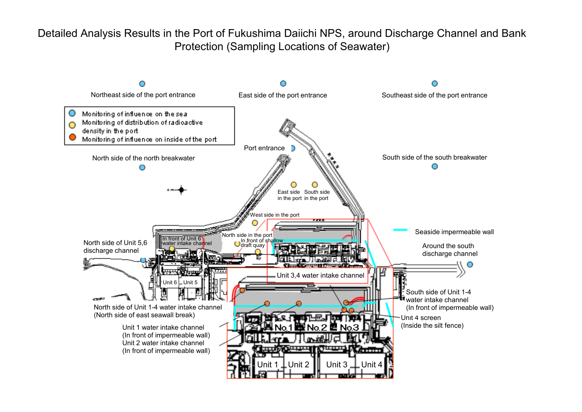Detailed Analysis Results in the Port of Fukushima Daiichi NPS, around Discharge Channel and Bank Protection (Sampling Locations of Seawater)

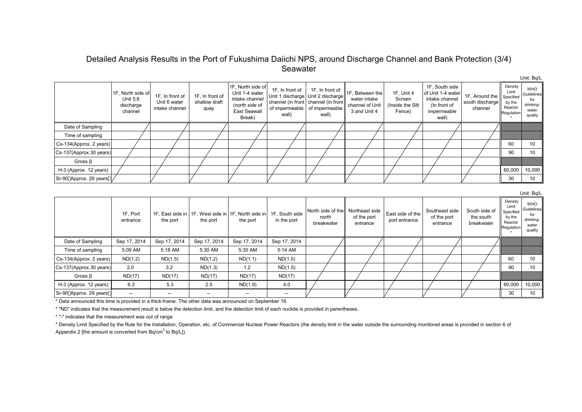# Detailed Analysis Results in the Port of Fukushima Daiichi NPS, around Discharge Channel and Bank Protection (3/4) Seawater

|                         | 1F, North side of<br>Unit 5,6<br>discharge<br>channel | 1F, In front of<br>Unit 6 water<br>intake channel | 1F, In front of<br>shallow draft<br>quay | 1F, North side of<br>Unit 1-4 water<br>intake channel<br>(north side of<br>East Seawall<br>Break) | 1F, In front of<br>wall) | 1F, In front of<br>Unit 1 discharge Unit 2 discharge<br>channel (in front channel (in front<br>of impermeable of impermeable<br>wall) | 1F, Between the<br>water intake<br>channel of Unit<br>3 and Unit 4 | 1F, Unit 4<br>Screen<br>(Inside the Silt<br>Fence) | 1F, South side<br>of Unit 1-4 water<br>intake channel<br>(In front of<br>impermeable<br>wall) | 1F, Around the<br>south discharge<br>channel | Density<br>Limit<br>Specified<br>by the<br>Reactor<br>Regulation | <b>WHO</b><br>Guidelines<br>drinking-<br>water<br>quality |
|-------------------------|-------------------------------------------------------|---------------------------------------------------|------------------------------------------|---------------------------------------------------------------------------------------------------|--------------------------|---------------------------------------------------------------------------------------------------------------------------------------|--------------------------------------------------------------------|----------------------------------------------------|-----------------------------------------------------------------------------------------------|----------------------------------------------|------------------------------------------------------------------|-----------------------------------------------------------|
| Date of Sampling        |                                                       |                                                   |                                          |                                                                                                   |                          |                                                                                                                                       |                                                                    |                                                    |                                                                                               |                                              |                                                                  |                                                           |
| Time of sampling        |                                                       |                                                   |                                          |                                                                                                   |                          |                                                                                                                                       |                                                                    |                                                    |                                                                                               |                                              |                                                                  |                                                           |
| Cs-134(Approx. 2 years) |                                                       |                                                   |                                          |                                                                                                   |                          |                                                                                                                                       |                                                                    |                                                    |                                                                                               |                                              | 60                                                               | 10                                                        |
| Cs-137(Approx.30 years) |                                                       |                                                   |                                          |                                                                                                   |                          |                                                                                                                                       |                                                                    |                                                    |                                                                                               |                                              | 90                                                               | 10 <sup>°</sup>                                           |
| Gross $\beta$           |                                                       |                                                   |                                          |                                                                                                   |                          |                                                                                                                                       |                                                                    |                                                    |                                                                                               |                                              |                                                                  |                                                           |
| H-3 (Approx. 12 years)  |                                                       |                                                   |                                          |                                                                                                   |                          |                                                                                                                                       |                                                                    |                                                    |                                                                                               |                                              | 60,000                                                           | 10,000                                                    |
| Sr-90 Approx. 29 years  |                                                       |                                                   |                                          |                                                                                                   |                          |                                                                                                                                       |                                                                    |                                                    |                                                                                               |                                              | 30                                                               | 10                                                        |

Unit: Bq/L

Unit: Bq/L

|                         |                      |              |                                                                                 |              |              |                                          |                                           |                                   |                                           |                                          |                                                                  | UTIIL DYL                                                 |
|-------------------------|----------------------|--------------|---------------------------------------------------------------------------------|--------------|--------------|------------------------------------------|-------------------------------------------|-----------------------------------|-------------------------------------------|------------------------------------------|------------------------------------------------------------------|-----------------------------------------------------------|
|                         | 1F, Port<br>entrance | the port     | 1F, East side in 11F, West side in 1F, North side in 1F, South side<br>the port | the port     | in the port  | North side of the<br>north<br>breakwater | Northeast side<br>of the port<br>entrance | East side of the<br>port entrance | Southeast side<br>of the port<br>entrance | South side of<br>the south<br>breakwater | Density<br>Limit<br>Specified<br>by the<br>Reactor<br>Regulation | WHO<br>Guidelines<br>for<br>drinking-<br>water<br>quality |
| Date of Sampling        | Sep 17, 2014         | Sep 17, 2014 | Sep 17, 2014                                                                    | Sep 17, 2014 | Sep 17, 2014 |                                          |                                           |                                   |                                           |                                          |                                                                  |                                                           |
| Time of sampling        | 5:09 AM              | 5:18 AM      | 5:30 AM                                                                         | 5:35 AM      | 5:14 AM      |                                          |                                           |                                   |                                           |                                          |                                                                  |                                                           |
| Cs-134(Approx. 2 years) | ND(1.2)              | ND(1.5)      | ND(1.2)                                                                         | ND(1.1)      | ND(1.5)      |                                          |                                           |                                   |                                           |                                          | 60                                                               | 10                                                        |
| Cs-137(Approx.30 years) | 2.0                  | 3.2          | ND(1.3)                                                                         | 1.2          | ND(1.5)      |                                          |                                           |                                   |                                           |                                          | 90                                                               | 10                                                        |
| Gross $\beta$           | ND(17)               | ND(17)       | ND(17)                                                                          | ND(17)       | ND(17)       |                                          |                                           |                                   |                                           |                                          |                                                                  |                                                           |
| H-3 (Approx. 12 years)  | 6.3                  | 5.3          | 2.5                                                                             | ND(1.9)      | 4.0          |                                          |                                           |                                   |                                           |                                          | 60,000                                                           | 10,000                                                    |
| Sr-90 Approx. 29 years  |                      |              |                                                                                 |              |              |                                          |                                           |                                   |                                           |                                          | 30                                                               | 10                                                        |

\* Data announced this time is provided in a thick-frame. The other data was announced on September 18.

\* "ND" indicates that the measurement result is below the detection limit, and the detection limit of each nuclide is provided in parentheses.

\* "-" indicates that the measurement was out of range.

\* Density Limit Specified by the Rule for the Installation, Operation, etc. of Commercial Nuclear Power Reactors (the density limit in the water outside the surrounding monitored areas is provided in section 6 of Appendix 2 [the amount is converted from Bq/cm<sup>3</sup> to Bq/L]).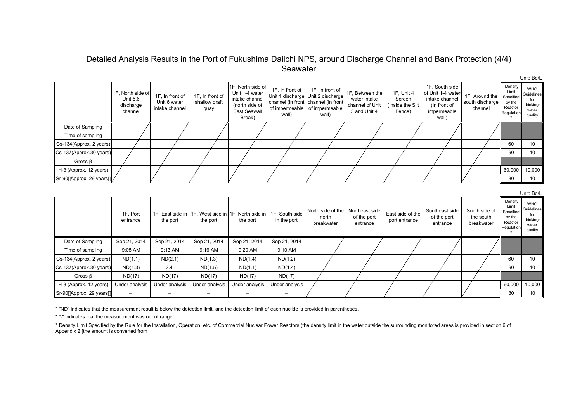# Detailed Analysis Results in the Port of Fukushima Daiichi NPS, around Discharge Channel and Bank Protection (4/4) Seawater

|                         | 1F, North side of<br>Unit 5,6<br>discharge<br>channel | 1F, In front of<br>Unit 6 water<br>intake channel | 1F, In front of<br>shallow draft<br>quay | 1F, North side of<br>Unit 1-4 water<br>intake channel<br>(north side of<br><b>East Seawall</b><br>Break) | 1F, In front of<br>wall) | 1F, In front of<br>Unit 1 discharge   Unit 2 discharge<br>channel (in front channel (in front<br>of impermeable of impermeable<br>wall) | 1F, Between the<br>water intake<br>channel of Unit<br>3 and Unit 4 | 1F, Unit 4<br>Screen<br>(Inside the Silt<br>Fence) | 1F, South side<br>of Unit 1-4 water<br>intake channel<br>(In front of<br>impermeable<br>wall) | 1F, Around the<br>south discharge<br>channel | Density<br>Limit<br>Specified<br>by the<br>Reactor<br>Regulation | <b>WHO</b><br>Guidelines<br>drinking-<br>water<br>quality |
|-------------------------|-------------------------------------------------------|---------------------------------------------------|------------------------------------------|----------------------------------------------------------------------------------------------------------|--------------------------|-----------------------------------------------------------------------------------------------------------------------------------------|--------------------------------------------------------------------|----------------------------------------------------|-----------------------------------------------------------------------------------------------|----------------------------------------------|------------------------------------------------------------------|-----------------------------------------------------------|
| Date of Sampling        |                                                       |                                                   |                                          |                                                                                                          |                          |                                                                                                                                         |                                                                    |                                                    |                                                                                               |                                              |                                                                  |                                                           |
| Time of sampling        |                                                       |                                                   |                                          |                                                                                                          |                          |                                                                                                                                         |                                                                    |                                                    |                                                                                               |                                              |                                                                  |                                                           |
| Cs-134(Approx. 2 years) |                                                       |                                                   |                                          |                                                                                                          |                          |                                                                                                                                         |                                                                    |                                                    |                                                                                               |                                              | 60                                                               | 10                                                        |
| Cs-137(Approx.30 years) |                                                       |                                                   |                                          |                                                                                                          |                          |                                                                                                                                         |                                                                    |                                                    |                                                                                               |                                              | 90                                                               | 10 <sup>°</sup>                                           |
| Gross $\beta$           |                                                       |                                                   |                                          |                                                                                                          |                          |                                                                                                                                         |                                                                    |                                                    |                                                                                               |                                              |                                                                  |                                                           |
| H-3 (Approx. 12 years)  |                                                       |                                                   |                                          |                                                                                                          |                          |                                                                                                                                         |                                                                    |                                                    |                                                                                               |                                              | 60,000                                                           | 10,000                                                    |
| Sr-90 Approx. 29 years  |                                                       |                                                   |                                          |                                                                                                          |                          |                                                                                                                                         |                                                                    |                                                    |                                                                                               |                                              | 30                                                               | 10                                                        |

Unit: Bq/L

Unit: Bq/L

|                         |                      |                |                                                                     |                |                               |                                          |                                           |                                   |                                           |                                          |                                                                  | O(10C)                                                    |
|-------------------------|----------------------|----------------|---------------------------------------------------------------------|----------------|-------------------------------|------------------------------------------|-------------------------------------------|-----------------------------------|-------------------------------------------|------------------------------------------|------------------------------------------------------------------|-----------------------------------------------------------|
|                         | 1F, Port<br>entrance | the port       | 1F, East side in   1F, West side in   1F, North side in<br>the port | the port       | 1F, South side<br>in the port | North side of the<br>north<br>breakwater | Northeast side<br>of the port<br>entrance | East side of the<br>port entrance | Southeast side<br>of the port<br>entrance | South side of<br>the south<br>breakwater | Density<br>Limit<br>Specified<br>by the<br>Reactor<br>Regulation | <b>WHO</b><br>Guidelines<br>drinking-<br>water<br>quality |
| Date of Sampling        | Sep 21, 2014         | Sep 21, 2014   | Sep 21, 2014                                                        | Sep 21, 2014   | Sep 21, 2014                  |                                          |                                           |                                   |                                           |                                          |                                                                  |                                                           |
| Time of sampling        | 9:05 AM              | 9:13 AM        | 9:16 AM                                                             | 9:20 AM        | 9:10 AM                       |                                          |                                           |                                   |                                           |                                          |                                                                  |                                                           |
| Cs-134(Approx. 2 years) | ND(1.1)              | ND(2.1)        | ND(1.3)                                                             | ND(1.4)        | ND(1.2)                       |                                          |                                           |                                   |                                           |                                          | 60                                                               | 10                                                        |
| Cs-137(Approx.30 years) | ND(1.3)              | 3.4            | ND(1.5)                                                             | ND(1.1)        | ND(1.4)                       |                                          |                                           |                                   |                                           |                                          | 90                                                               | 10                                                        |
| Gross $\beta$           | ND(17)               | ND(17)         | ND(17)                                                              | ND(17)         | ND(17)                        |                                          |                                           |                                   |                                           |                                          |                                                                  |                                                           |
| H-3 (Approx. 12 years)  | Under analysis       | Under analysis | Under analysis                                                      | Under analysis | Under analysis                |                                          |                                           |                                   |                                           |                                          | 60,000                                                           | 10,000                                                    |
| Sr-90 Approx. 29 years  |                      |                |                                                                     |                |                               |                                          |                                           |                                   |                                           |                                          | 30                                                               | 10 <sup>1</sup>                                           |

\* "ND" indicates that the measurement result is below the detection limit, and the detection limit of each nuclide is provided in parentheses.

\* "-" indicates that the measurement was out of range.

\* Density Limit Specified by the Rule for the Installation, Operation, etc. of Commercial Nuclear Power Reactors (the density limit in the water outside the surrounding monitored areas is provided in section 6 of Appendix 2 [the amount is converted from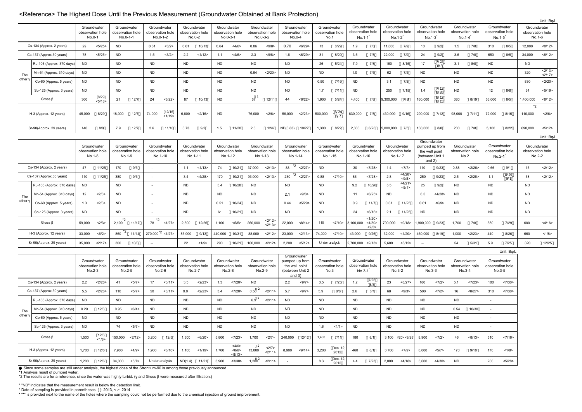#### <Reference> The Highest Dose Until the Previous Measurement (Groundwater Obtained at Bank Protection)

|                |                          |           |                                           |             |                                             |           |                                             |                                            |        |           |                                             |                     |                                             |           |                                               |           |                                            |           |                                             |                         |                             |                                                                 |              |           |                                             |                              |                           |                                           | Unit: Bq/L     |
|----------------|--------------------------|-----------|-------------------------------------------|-------------|---------------------------------------------|-----------|---------------------------------------------|--------------------------------------------|--------|-----------|---------------------------------------------|---------------------|---------------------------------------------|-----------|-----------------------------------------------|-----------|--------------------------------------------|-----------|---------------------------------------------|-------------------------|-----------------------------|-----------------------------------------------------------------|--------------|-----------|---------------------------------------------|------------------------------|---------------------------|-------------------------------------------|----------------|
|                |                          |           | Groundwater<br>observation hole<br>No.0-1 |             | Groundwater<br>observation hole<br>No.0-1-1 |           | Groundwater<br>observation hole<br>No.0-1-2 | Groundwater<br>observation hole<br>No.0-2  |        |           | Groundwater<br>observation hole<br>No.0-3-1 |                     | Groundwater<br>observation hole<br>No.0-3-2 |           | Groundwater<br>observation hole<br>No.0-4     |           | Groundwater<br>observation hole<br>No.1    |           | Groundwater<br>observation hole<br>$No.1-1$ | Groundwater<br>$No.1-2$ | observation hole            | Groundwater<br>observation hole<br>$No.1-3$                     |              |           | Groundwater<br>observation hole<br>$No.1-4$ | observation hole<br>$No.1-5$ | Groundwater               | Groundwater<br>observation hole<br>No.1-6 |                |
|                | Cs-134 (Approx. 2 years) | 29        | < 5/25                                    | <b>ND</b>   |                                             | 0.61      | <3/2>                                       | 0.61                                       | 10/13  | 0.64      | <4/6                                        | 0.86                | <9/8>                                       | 0.70      | < 6/29                                        | 13        | 8/29                                       | 1.9       | 7/8                                         | 11,000                  | 7/9                         | 10                                                              | 9/2          | 1.5       | 7/8                                         | 310                          | 8/5                       | 12.000                                    | <8/12>         |
|                | Cs-137 (Approx.30 years) | 78        | < 5/25                                    | <b>ND</b>   |                                             | 1.5       | <3/2>                                       | 2.2                                        | 1/12   | 1.1       | <4/6                                        | 2.3                 | < 9/8                                       | 1.6       | < 6/29                                        | 31        | 8/29                                       | 3.6       | $7/8$                                       | 22,000                  | 7/9                         | 24                                                              | 9/2          | 3.6       | 7/8                                         | 650                          | 8/5                       | 34,000                                    | <8/12>         |
|                | Ru-106 (Approx. 370 days | <b>ND</b> |                                           | <b>ND</b>   |                                             | <b>ND</b> |                                             | <b>ND</b>                                  |        | <b>ND</b> |                                             | <b>ND</b>           |                                             | <b>ND</b> |                                               | 26        | 5/24                                       | 7.9       | 7/8                                         | 160                     | 8/15                        | 17                                                              | 7/22<br>8/8  | 3.1       | 8/8                                         | <b>ND</b>                    |                           | <b>ND</b>                                 |                |
| The            | Mn-54 (Approx. 310 days) | <b>ND</b> |                                           | <b>ND</b>   |                                             | <b>ND</b> |                                             | <b>ND</b>                                  |        | <b>ND</b> |                                             | 0.64                | <2/20                                       | <b>ND</b> |                                               | <b>ND</b> |                                            | 1.0       | 7/5                                         | 62                      | 7/5                         | <b>ND</b>                                                       |              | <b>ND</b> |                                             | <b>ND</b>                    |                           | 320                                       | 2/13<br><2/17> |
| other          | Co-60 (Approx. 5 years)  | <b>ND</b> |                                           | <b>ND</b>   |                                             | <b>ND</b> |                                             | <b>ND</b>                                  |        | <b>ND</b> |                                             | <b>ND</b>           |                                             | <b>ND</b> |                                               | 0.50      | 7/19                                       | <b>ND</b> |                                             | 3.1                     | 7/8                         | <b>ND</b>                                                       |              | <b>ND</b> |                                             | <b>ND</b>                    |                           | 830                                       | <2/20>         |
|                | Sb-125 (Approx. 3 years) | <b>ND</b> |                                           | <b>ND</b>   |                                             | <b>ND</b> |                                             | <b>ND</b>                                  |        | <b>ND</b> |                                             | <b>ND</b>           |                                             | <b>ND</b> |                                               | 1.7       | 7/11                                       | <b>ND</b> |                                             | 250                     | 7/15                        | 1.4                                                             | 7/12<br>8/26 | <b>ND</b> |                                             | 12                           | 8/8                       | 34                                        | < 5/19 >       |
|                | Gross $\beta$            | 300       | [8/29]<br>< 5/18                          | 21          | 12/7                                        | 24        | < 6/22                                      | 87                                         | 10/13  | <b>ND</b> |                                             | 67                  | 12/11                                       | 44        | < 6/22>                                       | 1,900     | 5/24                                       | 4,400     | 7/8                                         | ,300,000                | 7/8                         | 160,000                                                         | 8/12<br>8/15 | 380       | 8/19                                        | 56,000                       | 8/5                       | 1,400,000                                 | <8/12>         |
|                | H-3 (Approx. 12 years)   | 45,000    | 8/29                                      | 18,000      | 12/7                                        | 74,000    | [12/15]<br><1/19                            | 6,800                                      | <2/16  | <b>ND</b> |                                             | 76,000              | <2/6>                                       | 56,000    | <2/23>                                        | 500,000   | 5/24<br>6/7                                | 630,000   | 7/8                                         | 430,000                 | 9/16                        | 290,000                                                         | 7/12         | 98,000    | 7/11                                        | 72,000                       | 8/15                      | $*2$<br>110,000                           | <2/6>          |
|                | Sr-90(Approx. 29 years)  | 140       | 8/8                                       | 7.9         | 12/7                                        | 2.6       | 11/10                                       | 0.73                                       | 9/2    | 1.5       | 11/20                                       | 2.3                 | 12/6                                        | ND(0.83)  | 10/27                                         | 1,300     | 8/22                                       | 2,300     | 6/28                                        | 6,000,000               | 7/5                         | 130,000                                                         | 8/8          | 200       | 7/8                                         | 5,100                        | 8/22                      | 690,000                                   | < 5/12 >       |
|                |                          |           |                                           |             |                                             |           |                                             |                                            |        |           |                                             |                     |                                             |           |                                               |           |                                            |           |                                             |                         |                             | Groundwater                                                     |              |           |                                             |                              |                           |                                           | Unit: Bq/L     |
|                |                          |           | Groundwater<br>observation hole<br>No.1-8 |             | Groundwater<br>observation hole<br>No.1-9   |           | Groundwater<br>observation hole<br>No.1-10  | Groundwater<br>observation hole<br>No.1-11 |        |           | Groundwater<br>observation hole<br>No.1-12  |                     | Groundwater<br>observation hole<br>No.1-13  |           | Groundwater<br>observation hole<br>No.1-14    |           | Groundwater<br>observation hole<br>No.1-15 |           | Groundwater<br>observation hole<br>No.1-16  | Groundwater             | observation hole<br>No.1-17 | pumped up from<br>the well point<br>(between Unit 1<br>and $2)$ |              |           | Groundwater<br>observation hole<br>No.2     | observation hole<br>$No.2-1$ | Groundwater               | Groundwater<br>observation hole<br>No.2-2 |                |
|                | Cs-134 (Approx. 2 years) | 47        | 11/25                                     | 170         | 9/3                                         |           |                                             | 1.1                                        | <1/13  | 74        | 10/21                                       | 37,000              | <2/13>                                      | 88        | $2^*2$ <2/27>                                 | <b>ND</b> |                                            | 30        | <7/28                                       | 1.4                     | <7/7>                       | 110                                                             | 9/23         | 0.88      | <2/26                                       | 0.66                         | 9/1                       | 15                                        | 2/12           |
|                | Cs-137 (Approx.30 years) | 110       | 11/25                                     | 380         | 9/3                                         |           |                                             | 3.4                                        | <4/28  | 170       | 10/21                                       | 93,000              | <2/13>                                      | 230       | *2<br><2/27>                                  | 0.88      | <7/10                                      | 86        | <7/28                                       | 2.8                     | 4/28<br>< 9/8               | 250                                                             | 9/23         | 2.5       | <2/26                                       | 1.1                          | 8/29<br>9/1               | 38                                        | 2/12           |
|                | Ru-106 (Approx. 370 days | <b>ND</b> |                                           | <b>ND</b>   |                                             | ÷.        |                                             | <b>ND</b>                                  |        | 5.4       | 10/28                                       | <b>ND</b>           |                                             | <b>ND</b> |                                               | <b>ND</b> |                                            | 9.2       | 10/28                                       | 5.5                     | <4/21<br>< 5/1 >            | 25                                                              | 9/2          | <b>ND</b> |                                             | <b>ND</b>                    |                           | <b>ND</b>                                 |                |
| The            | Mn-54 (Approx. 310 days) | 12        | <2/3>                                     | <b>ND</b>   |                                             |           |                                             | <b>ND</b>                                  |        | <b>ND</b> |                                             | <b>ND</b>           |                                             | 2.1       | < 9/8                                         | <b>ND</b> |                                            | 11        | <8/25                                       | <b>ND</b>               |                             | 8.5                                                             | <4/28        | <b>ND</b> |                                             | <b>ND</b>                    |                           | <b>ND</b>                                 |                |
| other          | Co-60 (Approx. 5 years)  | 1.3       | <2/3>                                     | <b>ND</b>   |                                             |           |                                             | <b>ND</b>                                  |        | 0.51      | 10/24                                       | <b>ND</b>           |                                             | 0.44      | < 5/29                                        | <b>ND</b> |                                            | 0.9       | 11/7                                        | 0.61                    | 11/25                       | 0.61                                                            | < 6/9        | <b>ND</b> |                                             | <b>ND</b>                    |                           | <b>ND</b>                                 |                |
|                | Sb-125 (Approx. 3 years) | <b>ND</b> |                                           | <b>ND</b>   |                                             | $\sim$    |                                             | <b>ND</b>                                  |        | 61        | 10/21                                       | <b>ND</b>           |                                             | <b>ND</b> |                                               | <b>ND</b> |                                            | 24        | < 6/16                                      | 2.1                     | 11/25                       | <b>ND</b>                                                       |              | <b>ND</b> |                                             | <b>ND</b>                    |                           | <b>ND</b>                                 |                |
|                | Gross $\beta$            | 59,000    | <2/3>                                     | $2,100^{2}$ | 11/17                                       | $78*2$    | <1/27>                                      | 2,300                                      | 12/26  | 1,100     | < 5/5 >                                     | 260,000             | 2/12<br><2/13>                              | 22,000    | <8/14>                                        | 110       | <7/10                                      | 3,100,000 | <1/20><br><1/30<br><2/3>                    | 790,000                 | < 9/18                      | ,900,000                                                        | 9/23         | 1,700     | 7/8                                         | 380                          | 7/29                      | 600                                       | <4/16          |
|                | H-3 (Approx. 12 years)   | 33,000    | < 6/2 >                                   | *2<br>860   | 11/14                                       |           | $270,000^{2}$ < 1/27>                       | 85,000                                     | 9/13   | 440,000   | 10/31                                       | 88,000              | <2/12>                                      | 23,000    | <2/13>                                        | 74,000    | <7/10                                      | 43,000    | 9/26                                        | 32,000                  | <1/20                       | 460,000                                                         | 8/19         | 1,000     | <2/23                                       | 440                          | 8/26                      | 660                                       | <1/8>          |
|                | Sr-90(Approx. 29 years)  | 35,000    | <2/17>                                    | 300         | 10/3                                        |           |                                             | 22                                         | <1/9   | 290       | 10/21                                       | 160,000             | <2/12>                                      | 2,200     | < 5/12 >                                      |           | Under analysis                             | 2,700,000 | <2/13                                       | 5,600                   | < 5/12 >                    |                                                                 |              | 54        | 5/31                                        | 5.9                          | 7/25                      | 320                                       | 12/25          |
|                |                          |           | Groundwater                               |             | Groundwater                                 |           | Groundwater                                 | Groundwater                                |        |           | Groundwater                                 |                     | Groundwater                                 |           | Groundwater<br>pumped up from                 |           | Groundwater                                |           | Groundwater                                 | Groundwater             |                             | Groundwater                                                     |              |           | Groundwater                                 |                              | Unit: Bq/L<br>Groundwater |                                           |                |
|                |                          |           | observation hole<br>No.2-3                |             | observation hole<br>No.2-5                  |           | observation hole<br>No.2-6                  | observation hole<br>No.2-7                 |        |           | observation hole<br>No.2-8                  |                     | observation hole<br>No.2-9                  |           | the well point<br>(between Unit 2<br>and $3)$ |           | observation hole<br>No.3                   | $No.3-1$  | observation hole<br>7/25                    |                         | observation hole<br>No.3-2  | observation hole<br>$No.3-3$                                    |              |           | observation hole<br>No.3-4                  | observation hole             | No.3-5                    |                                           |                |
|                | Cs-134 (Approx. 2 years) | 2.2       | <2/26                                     | 41          | <5/7>                                       | 17        | <3/11>                                      | 3.5                                        | <2/23  | 1.3       | <7/20                                       | <b>ND</b>           |                                             | 2.2       | <9/7                                          | 3.5       | 7/25                                       | 1.2       | 8/8                                         | 23                      | <8/27>                      | 180                                                             | <7/2>        | 5.1       | <7/23                                       | 100                          | <7/30                     |                                           |                |
|                | Cs-137 (Approx.30 years) | 5.5       | <2/26                                     | 110         | <5/7>                                       | 50        | <3/11>                                      | 9.0                                        | <2/23> | 3.4       | <7/20                                       | $0.58$ <sup>2</sup> | <2/11>                                      | 5.7       | <9/7                                          | 5.9       | 8/8                                        | 2.6       | 8/1                                         | 68                      | < 9/3 >                     | 500                                                             | <7/2>        | 16        | <8/27>                                      | 310                          | <7/30                     |                                           |                |
|                | Ru-106 (Approx. 370 days | <b>ND</b> |                                           | <b>ND</b>   |                                             | <b>ND</b> |                                             | <b>ND</b>                                  |        | <b>ND</b> |                                             | $6.5^{2}$           | <2/11>                                      | <b>ND</b> |                                               | <b>ND</b> |                                            | <b>ND</b> |                                             | <b>ND</b>               |                             | <b>ND</b>                                                       |              | <b>ND</b> |                                             | $\sim$                       |                           |                                           |                |
| The<br>other y | Mn-54 (Approx. 310 days) | 0.29      | 12/6                                      | 0.95        | <6/4>                                       | <b>ND</b> |                                             | <b>ND</b>                                  |        | <b>ND</b> |                                             | <b>ND</b>           |                                             | <b>ND</b> |                                               | <b>ND</b> |                                            | <b>ND</b> |                                             | <b>ND</b>               |                             | <b>ND</b>                                                       |              | 0.54      | 10/30                                       | $\sim$                       |                           |                                           |                |
|                | Co-60 (Approx. 5 years)  | <b>ND</b> |                                           | <b>ND</b>   |                                             | <b>ND</b> |                                             | <b>ND</b>                                  |        | <b>ND</b> |                                             | <b>ND</b>           |                                             | <b>ND</b> |                                               | <b>ND</b> |                                            | <b>ND</b> |                                             | <b>ND</b>               |                             | <b>ND</b>                                                       |              | <b>ND</b> |                                             | $\sim$                       |                           |                                           |                |
|                | Sb-125 (Approx. 3 years) | <b>ND</b> |                                           | 74          | < 5/7                                       | <b>ND</b> |                                             | <b>ND</b>                                  |        | <b>ND</b> |                                             | <b>ND</b>           |                                             | <b>ND</b> |                                               | 1.6       | 1/1>                                       | <b>ND</b> |                                             | <b>ND</b>               |                             | <b>ND</b>                                                       |              | <b>ND</b> |                                             | $\sim$                       |                           |                                           |                |
|                | Gross $\beta$            | 1,500     | 12/6<br>1/8                               | 150,000     | <2/12>                                      | 3,200     | 12/5                                        | 1,300                                      | < 6/20 | 5,800     | <7/23<br><4/6                               | 1,700               | <2/7>                                       | 240,000   | 12/12                                         | 1,400     | 7/11                                       | 180       | 8/1                                         |                         | 3,100  /20><8/28            | 8,900                                                           | <7/2>        | 46        | <8/13>                                      | 510                          | <7/16                     |                                           |                |
|                | H-3 (Approx. 12 years)   | 1,700     | 12/6                                      | 7,900       | <4/9>                                       | 1,900     | <8/10                                       | 1,100                                      | <1/19  | 1,700     | <8/6><br><8/13                              | 13,000              | <2/7><br><2/11>                             | 8,900     | < 9/14                                        | 3,200     | Dec. 12<br>2012<br>Dec. 12                 | 460       | 8/1                                         | 3,700                   | <7/9>                       | 8,000                                                           | < 5/7 >      | 170       | 9/18                                        | 170                          | <1/8>                     |                                           |                |
|                | Sr-90(Approx. 29 years)  | 1,200     | 12/6                                      | 34,000      | < 5/7                                       |           | Under analysis                              | ND(1.4)                                    | 11/21  | 3,900     | <3/30                                       | $1,200^2$           | <2/11>                                      | . —       |                                               | 8.3       | 2012                                       | 4.4       | 7/23                                        | 2,000                   | <4/18                       | 3,600                                                           | <4/30        | <b>ND</b> |                                             | 200                          | < 5/28                    |                                           |                |

Since some samples are still under analysis, the highest dose of the Strontium-90 is among those previously announced.

\*1 Analysis result of pumped water. \*2 The results are for a reference, since the water was highly turbid. (γ and Gross β were measured after filtration.)

\* "ND" indicates that the measurement result is below the detection limit.

\* Date of sampling is provided in parentheses. ( ): 2013, < >: 2014 \* "\*" is provided next to the name of the holes where the sampling could not be performed due to the chemical injection of ground improvement.